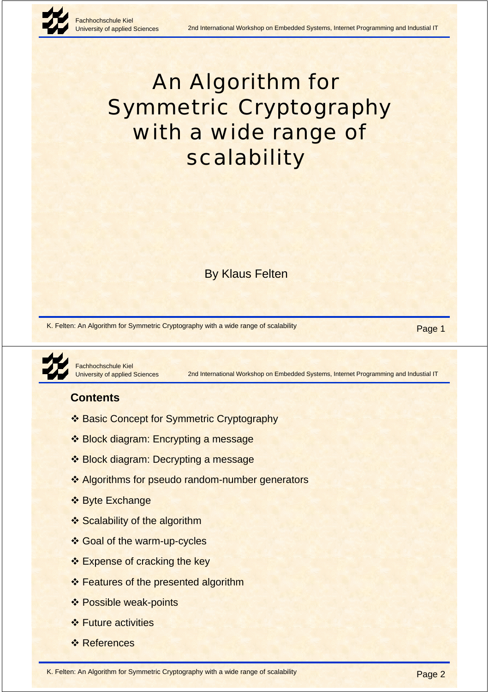

# An Algorithm for Symmetric Cryptography with a wide range of scalability

By Klaus Felten

K. Felten: An Algorithm for Symmetric Cryptography with a wide range of scalability Page 1

Fachhochschule Kiel **Jniversity of applied Sciences** 

2nd International Workshop on Embedded Systems, Internet Programming and Industial IT

# **Contents**

- ❖ Basic Concept for Symmetric Cryptography
- ❖ Block diagram: Encrypting a message
- ❖ Block diagram: Decrypting a message
- ❖ Algorithms for pseudo random-number generators
- ❖ Byte Exchange
- ❖ Scalability of the algorithm
- ❖ Goal of the warm-up-cycles
- ❖ Expense of cracking the key
- ❖ Features of the presented algorithm
- ❖ Possible weak-points
- ❖ Future activities
- *❖* References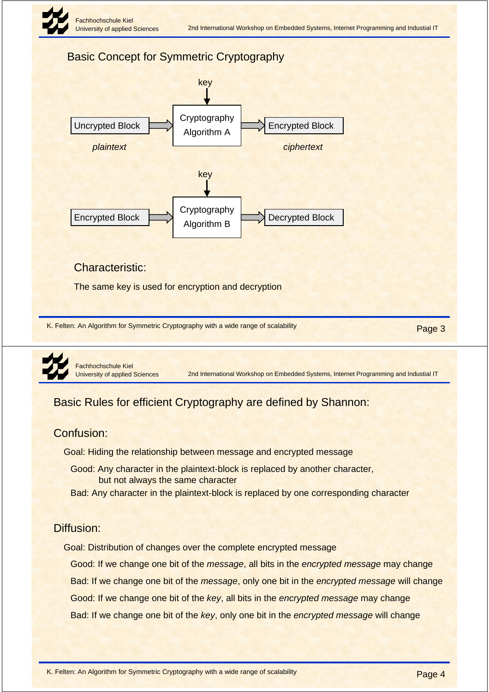

# Basic Concept for Symmetric Cryptography



#### Characteristic:

The same key is used for encryption and decryption

K. Felten: An Algorithm for Symmetric Cryptography with a wide range of scalability Page 3



Fachhochschule Kiel University of applied Sciences

2nd International Workshop on Embedded Systems, Internet Programming and Industial IT

# Basic Rules for efficient Cryptography are defined by Shannon:

#### Confusion:

Goal: Hiding the relationship between message and encrypted message

- Good: Any character in the plaintext-block is replaced by another character, but not always the same character
- Bad: Any character in the plaintext-block is replaced by one corresponding character

#### Diffusion:

Goal: Distribution of changes over the complete encrypted message

Good: If we change one bit of the *message*, all bits in the *encrypted message* may change

Bad: If we change one bit of the *message*, only one bit in the *encrypted message* will change

Good: If we change one bit of the *key*, all bits in the *encrypted message* may change

Bad: If we change one bit of the *key*, only one bit in the *encrypted message* will change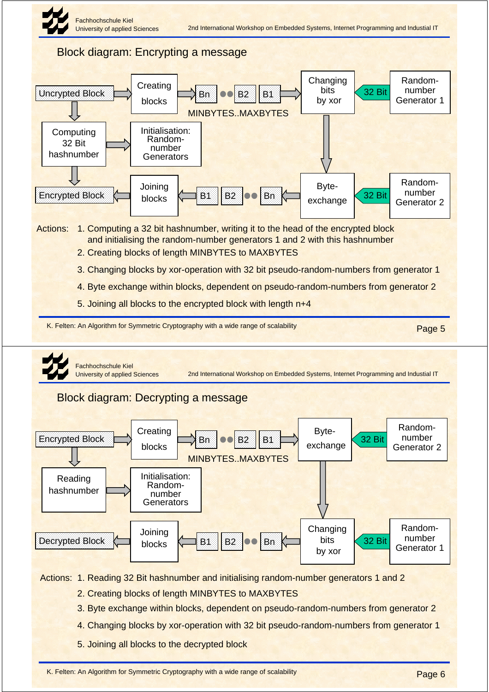



5. Joining all blocks to the decrypted block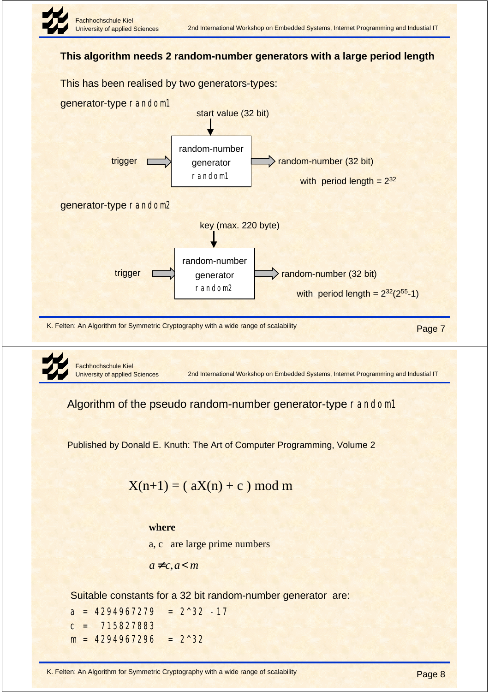

#### **This algorithm needs 2 random-number generators with a large period length**



Algorithm of the pseudo random-number generator-type random1

Published by Donald E. Knuth: The Art of Computer Programming, Volume 2

 $X(n+1) = (aX(n) + c) \mod m$ 

#### **where**

a, c are large prime numbers

$$
a \neq c, a < m
$$

Suitable constants for a 32 bit random-number generator are:

 $a = 4294967279 = 2^{\land}32 -17$  $c = 715827883$  $m = 4294967296 = 2^{\wedge}32$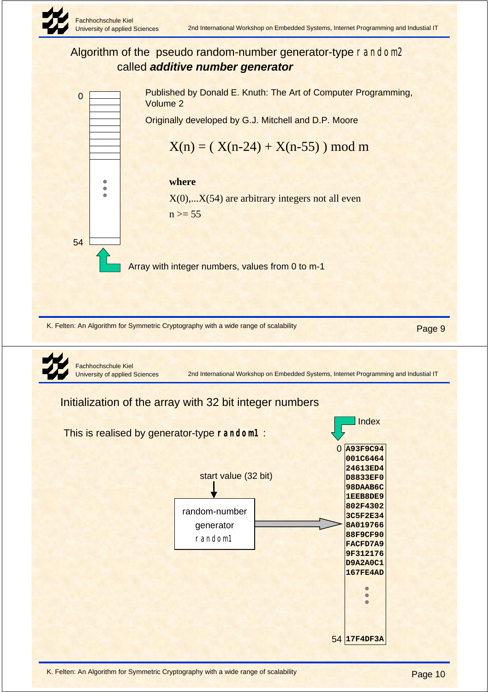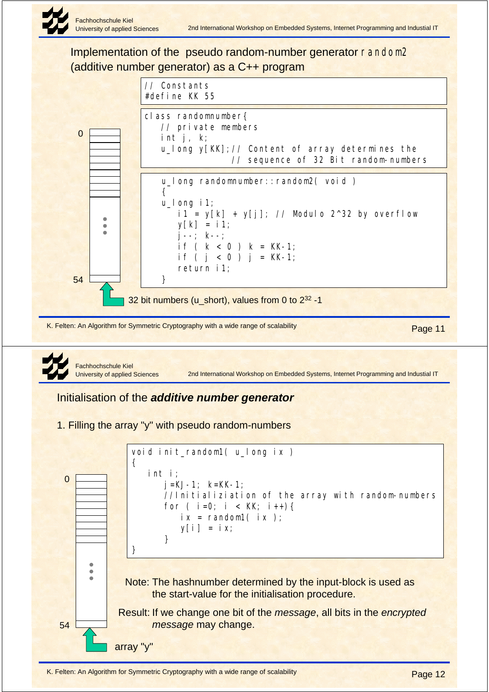

Implementation of the pseudo random-number generator random2 (additive number generator) as a C++ program



Note: The hashnumber determined by the input-block is used as

Result: If we change one bit of the *message*, all bits in the *encrypted* 

the start-value for the initialisation procedure.

*message* may change.

array "y"

54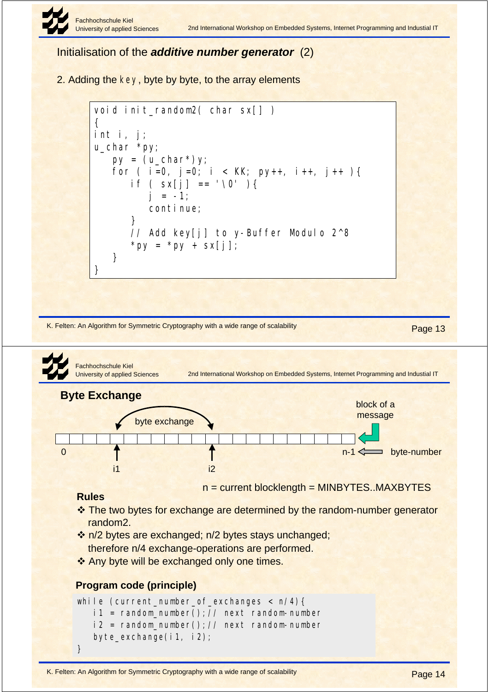

Initialisation of the *additive number generator* (2)

2. Adding the key, byte by byte, to the array elements

```
void init_random2( char sx[] )
{
int i, j;
u_char *py;
   py = (u_{char}^*)y;for ( i=0, j=0; i < KK; py++, i++, j++) {
      if (sx[i] == ' \0' )j = -1;
          continue;
       }
       // Add key[j] to y-Buffer Modulo 2^8
      *py = *py + sx[j];
    }
}
```
K. Felten: An Algorithm for Symmetric Cryptography with a wide range of scalability Page 13

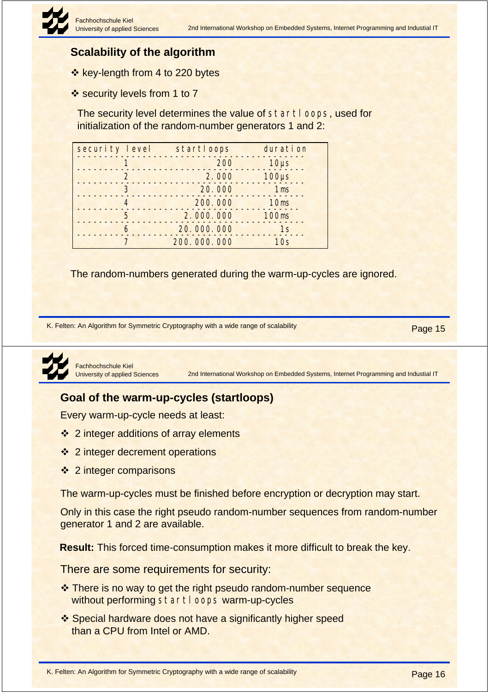# **Scalability of the algorithm**

- ❖ key-length from 4 to 220 bytes
- ❖ security levels from 1 to 7

The security level determines the value of startloops, used for initialization of the random-number generators 1 and 2:

| security level | startloops  | duration         |
|----------------|-------------|------------------|
|                | 200         | $10\mu s$        |
| $\mathbf{2}$   | 2.000       | $100\mu s$       |
| 3              | 20.000      | 1 <sub>ms</sub>  |
| 4              | 200.000     | 10 <sub>ms</sub> |
| 5              | 2.000.000   | <b>100ms</b>     |
| 6              | 20.000.000  | 1s               |
|                | 200.000.000 | 10s              |

The random-numbers generated during the warm-up-cycles are ignored.

K. Felten: An Algorithm for Symmetric Cryptography with a wide range of scalability Page 15



Fachhochschule Kiel University of applied Sciences

2nd International Workshop on Embedded Systems, Internet Programming and Industial IT

## **Goal of the warm-up-cycles (startloops)**

Every warm-up-cycle needs at least:

- ❖ 2 integer additions of array elements
- ❖ 2 integer decrement operations
- $\cdot$  2 integer comparisons

The warm-up-cycles must be finished before encryption or decryption may start.

Only in this case the right pseudo random-number sequences from random-number generator 1 and 2 are available.

**Result:** This forced time-consumption makes it more difficult to break the key.

There are some requirements for security:

- \* There is no way to get the right pseudo random-number sequence without performing startloops warm-up-cycles
- ❖ Special hardware does not have a significantly higher speed than a CPU from Intel or AMD.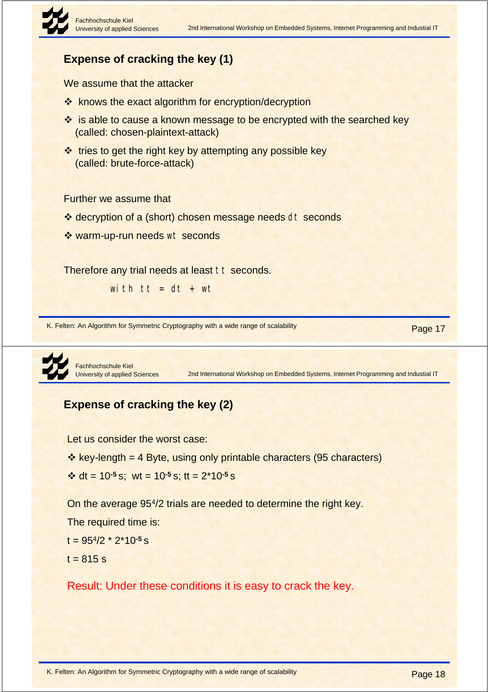# **Expense of cracking the key (1)**

We assume that the attacker

- ❖ knows the exact algorithm for encryption/decryption
- ❖ is able to cause a known message to be encrypted with the searched key (called: chosen-plaintext-attack)
- $\cdot$  tries to get the right key by attempting any possible key (called: brute-force-attack)

Further we assume that

- ❖ decryption of a (short) chosen message needs dt seconds
- ❖ warm-up-run needs wt seconds

Therefore any trial needs at least tt seconds.

with  $tt = dt + wt$ 

K. Felten: An Algorithm for Symmetric Cryptography with a wide range of scalability Page 17



Fachhochschule Kiel University of applied Sciences

2nd International Workshop on Embedded Systems, Internet Programming and Industial IT

# **Expense of cracking the key (2)**

Let us consider the worst case:

- $\cdot$  key-length = 4 Byte, using only printable characters (95 characters)
- $\div$  dt = 10<sup>-5</sup> s; wt = 10<sup>-5</sup> s; tt = 2<sup>\*</sup>10<sup>-5</sup> s

On the average 954/2 trials are needed to determine the right key.

The required time is:

- t = 954/2 \* 2\*10**-5** s
- $t = 815 s$

Result: Under these conditions it is easy to crack the key.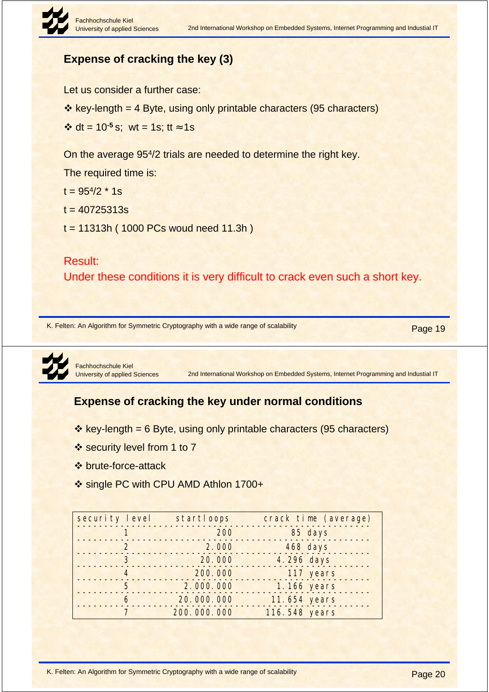

# **Expense of cracking the key (3)**

Let us consider a further case:

 $\cdot$  key-length = 4 Byte, using only printable characters (95 characters)

 $\div$  dt = 10<sup>-5</sup> s; wt = 1s; tt ≈ 1s

On the average 954/2 trials are needed to determine the right key.

The required time is:

 $t = 95^{4}/2 * 1s$ 

 $t = 40725313s$ 

t = 11313h ( 1000 PCs woud need 11.3h )

#### Result:

Under these conditions it is very difficult to crack even such a short key.

K. Felten: An Algorithm for Symmetric Cryptography with a wide range of scalability Page 19



Fachhochschule Kiel University of applied Sciences

2nd International Workshop on Embedded Systems, Internet Programming and Industial IT

# **Expense of cracking the key under normal conditions**

- $\cdot$  key-length = 6 Byte, using only printable characters (95 characters)
- ❖ security level from 1 to 7
- ! brute-force-attack
- ❖ single PC with CPU AMD Athlon 1700+

| security level | startloops  | crack time (average) |
|----------------|-------------|----------------------|
|                | 200         | 85 days              |
| $\overline{2}$ | 2.000       | 468 days             |
| 3              | 20.000      | 4.296 days           |
| $\overline{4}$ | 200.000     | 117 years            |
| 5              | 2.000.000   | 1.166 years          |
| 6              | 20.000.000  | 11.654 years         |
|                | 200.000.000 | 116.548 years        |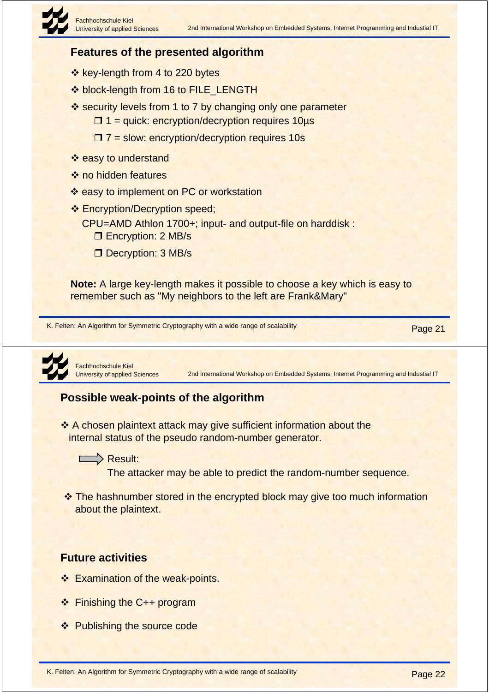# **Features of the presented algorithm**

- ❖ key-length from 4 to 220 bytes
- $\diamond$  **block-length from 16 to FILE\_LENGTH**
- $\cdot$  security levels from 1 to 7 by changing only one parameter
	- $\Box$  1 = quick: encryption/decryption requires 10 $\mu$ s
	- $\Box$  7 = slow: encryption/decryption requires 10s
- ❖ easy to understand
- ❖ no hidden features
- ❖ easy to implement on PC or workstation
- ❖ Encryption/Decryption speed;
	- CPU=AMD Athlon 1700+; input- and output-file on harddisk :
		- **D** Encryption: 2 MB/s
		- Decryption: 3 MB/s

**Note:** A large key-length makes it possible to choose a key which is easy to remember such as "My neighbors to the left are Frank&Mary"

K. Felten: An Algorithm for Symmetric Cryptography with a wide range of scalability Page 21



Fachhochschule Kiel University of applied Sciences

2nd International Workshop on Embedded Systems, Internet Programming and Industial IT

## **Possible weak-points of the algorithm**

 $\cdot$  A chosen plaintext attack may give sufficient information about the internal status of the pseudo random-number generator.



The attacker may be able to predict the random-number sequence.

• The hashnumber stored in the encrypted block may give too much information about the plaintext.

## **Future activities**

- ❖ Examination of the weak-points.
- ❖ Finishing the C++ program
- ❖ Publishing the source code